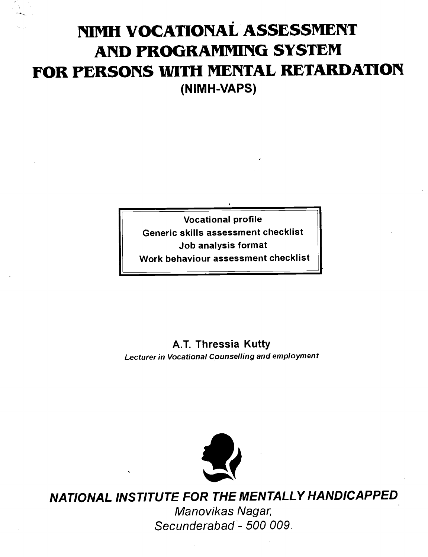# NIMH VOCATIONAL ASSESSMENT AND PROGRAMMING SYSTEM FOR PERSONS WITH MENTAL RETARDATION (NIMH-VAPS)

Vocational profile Generic skills assessment checklist Job analysis format Work behaviour assessment checklist

A.T. Thressia Kutty Lecturer in Vocational Counselling and employment



NATIONAL INSTITUTE FOR THE MENTALLY HANDICAPPED Manovikas Nagar, Secunderabad - 500 009.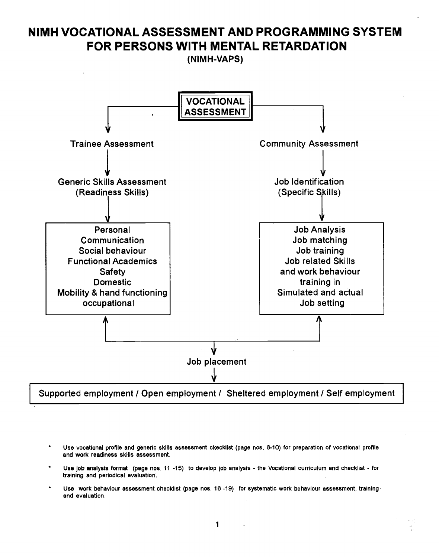## NIMH VOCATIONAL ASSESSMENT AND PROGRAMMING SYSTEM FOR PERSONS WITH MENTAL RETARDATION

(NIMH-VAPS)



Supported employment / Open employment / Sheltered employment / Self employment

- Use vocational profile and generic skills assessment ckecklist (page nos. 6-10) for preparation of vocational profile and work readiness skills assessment.
- Use job analysis format (page nos. 11 -15) to develop job analysis the Vocational curriculum and checklist for training and periodical evaluation.
- Use work behaviour assessment checklist (page nos. 16 -19) for systematic work behaviour assessment, training and evaluation.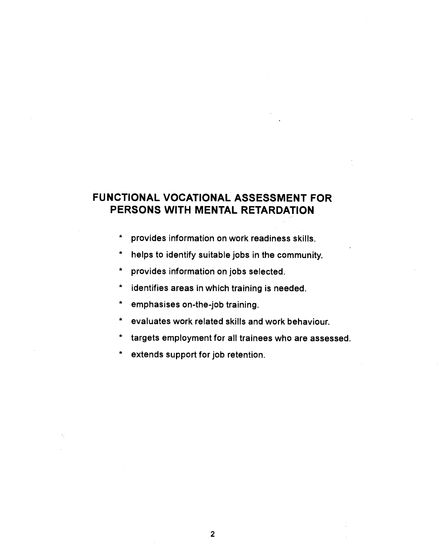## FUNCTIONAL VOCATIONAL ASSESSMENT FOR PERSONS WITH MENTAL RETARDATION

- \* provides information on work readiness skills.
- \* helps to identify suitable jobs in the community.
- \* provides information on jobs selected.
- \* identifies areas in which training is needed.
- emphasises on-the-job training.
- \* evaluates work related skills and work behaviour.
- targets employment for all trainees who are assessed.
- extends support for job retention.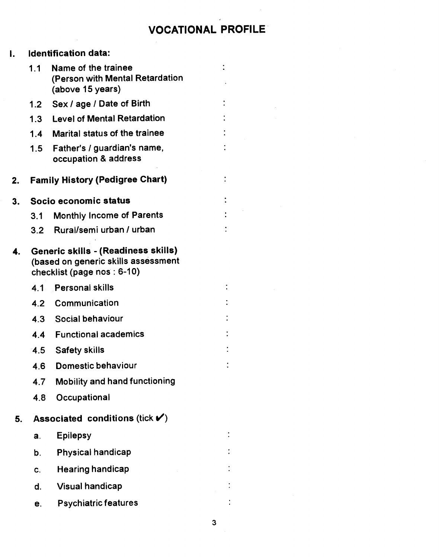## VOCATIONAL PROFILE

 $\ddot{\cdot}$ 

 $\ddot{\cdot}$ 

 $\ddot{\cdot}$ 

| I. |     | <b>Identification data:</b>                                                                               |  |
|----|-----|-----------------------------------------------------------------------------------------------------------|--|
|    | 1.1 | Name of the trainee<br>(Person with Mental Retardation<br>(above 15 years)                                |  |
|    | 1.2 | Sex / age / Date of Birth                                                                                 |  |
|    | 1.3 | <b>Level of Mental Retardation</b>                                                                        |  |
|    | 1.4 | Marital status of the trainee                                                                             |  |
|    | 1.5 | Father's / guardian's name,<br>occupation & address                                                       |  |
| 2. |     | <b>Family History (Pedigree Chart)</b>                                                                    |  |
| 3. |     | Socio economic status                                                                                     |  |
|    | 3.1 | <b>Monthly Income of Parents</b>                                                                          |  |
|    | 3.2 | Rural/semi urban / urban                                                                                  |  |
| 4. |     | Generic skills - (Readiness skills)<br>(based on generic skills assessment<br>checklist (page nos : 6-10) |  |
|    | 4.1 | <b>Personal skills</b>                                                                                    |  |
|    | 4.2 | Communication                                                                                             |  |
|    | 4.3 | Social behaviour                                                                                          |  |
|    | 4.4 | <b>Functional academics</b>                                                                               |  |
|    | 4.5 | <b>Safety skills</b>                                                                                      |  |
|    | 4.6 | Domestic behaviour                                                                                        |  |
|    |     | 4.7 Mobility and hand functioning                                                                         |  |
|    | 4.8 | Occupational                                                                                              |  |
| 5. |     | Associated conditions (tick $\blacktriangledown$ )                                                        |  |
|    | a.  | <b>Epilepsy</b>                                                                                           |  |
|    | b.  | <b>Physical handicap</b>                                                                                  |  |
|    | C.  | <b>Hearing handicap</b>                                                                                   |  |
|    | d.  | <b>Visual handicap</b>                                                                                    |  |
|    | е.  | <b>Psychiatric features</b>                                                                               |  |

3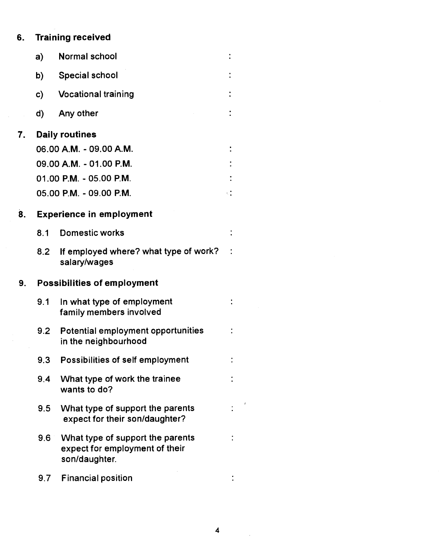# 6. Training received

|    | a)  | Normal school                                                                       |    |
|----|-----|-------------------------------------------------------------------------------------|----|
|    | b)  | <b>Special school</b>                                                               |    |
|    | c)  | <b>Vocational training</b>                                                          |    |
|    | d)  | Any other                                                                           |    |
| 7. |     | <b>Daily routines</b>                                                               |    |
|    |     | 06.00 A.M. - 09.00 A.M.                                                             |    |
|    |     | 09.00 A.M. - 01.00 P.M.                                                             |    |
|    |     | 01.00 P.M. - 05.00 P.M.                                                             |    |
|    |     | 05.00 P.M. - 09.00 P.M.                                                             | ÷Ι |
| 8. |     | <b>Experience in employment</b>                                                     |    |
|    | 8.1 | <b>Domestic works</b>                                                               |    |
|    | 8.2 | If employed where? what type of work?<br>salary/wages                               |    |
| 9. |     | <b>Possibilities of employment</b>                                                  |    |
|    | 9.1 | In what type of employment<br>family members involved                               |    |
|    | 9.2 | Potential employment opportunities<br>in the neighbourhood                          |    |
|    | 9.3 | Possibilities of self employment                                                    |    |
|    | 9,4 | What type of work the trainee<br>wants to do?                                       |    |
|    | 9.5 | What type of support the parents<br>expect for their son/daughter?                  |    |
|    | 9.6 | What type of support the parents<br>expect for employment of their<br>son/daughter. |    |
|    | 9.7 | <b>Financial position</b>                                                           |    |

 $\hat{\mathcal{A}}$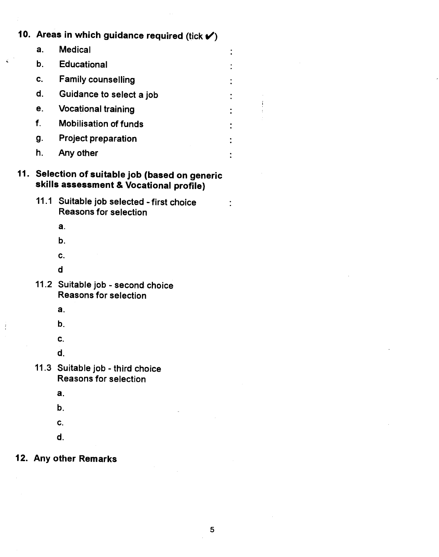# 10. Areas in which guidance required (tick  $\checkmark$ ) a. Medical b. Educational c. Family counselling d. Guidance to select a job e. Vocational training f. Mobilisation of funds g. Project preparation h. Any other 11. Selection of suitable job (based on generic skills assessment & Vocational profile) 11.1 Suitable job selected - first choice

Reasons for selection

a.

b.

c.

d

11.2 Suitable job - second choice Reasons for selection

a.

÷

- b.
- C.
- d.
- 11.3 Suitable job third choice Reasons for selection
	- a.
	- b.
	- C.
	- d.

## 12. Any other Remarks

5

 $\ddot{\cdot}$  $\ddot{\cdot}$ 

 $\ddot{\phantom{0}}$  $\ddot{\cdot}$ 

÷

 $\ddot{\cdot}$  $\bullet$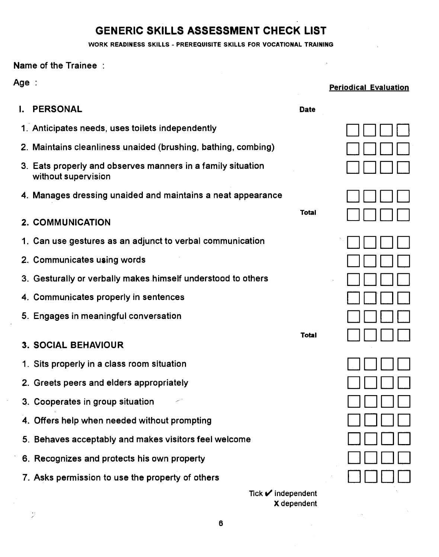## GENERIC SKILLS ASSESSMENT CHECK LIST

WORK READINESS SKILLS - PREREQUISITE SKILLS FOR VOCATIONAL TRAINING

Name of the Trainee

 $\tilde{\mathcal{F}}$ 

| <b>Age :</b> |                                                                                    |              | <b>Periodical Evaluation</b> |
|--------------|------------------------------------------------------------------------------------|--------------|------------------------------|
|              | <b>I. PERSONAL</b>                                                                 | <b>Date</b>  |                              |
|              | 1. Anticipates needs, uses toilets independently                                   |              |                              |
|              | 2. Maintains cleanliness unaided (brushing, bathing, combing)                      |              |                              |
|              | 3. Eats properly and observes manners in a family situation<br>without supervision |              |                              |
|              | 4. Manages dressing unaided and maintains a neat appearance                        |              |                              |
|              | 2. COMMUNICATION                                                                   | <b>Total</b> |                              |
|              | 1. Can use gestures as an adjunct to verbal communication                          |              |                              |
|              | 2. Communicates using words                                                        |              |                              |
|              | 3. Gesturally or verbally makes himself understood to others                       |              |                              |
|              | 4. Communicates properly in sentences                                              |              |                              |
|              | 5. Engages in meaningful conversation                                              |              |                              |
|              | <b>3. SOCIAL BEHAVIOUR</b>                                                         | <b>Total</b> |                              |
|              | 1. Sits properly in a class room situation                                         |              |                              |
|              | 2. Greets peers and elders appropriately                                           |              |                              |
|              | 3. Cooperates in group situation                                                   |              |                              |
|              | 4. Offers help when needed without prompting                                       |              |                              |
|              | 5. Behaves acceptably and makes visitors feel welcome                              |              |                              |
|              | 6. Recognizes and protects his own property                                        |              |                              |
|              | 7. Asks permission to use the property of others                                   |              |                              |
|              | Tick $\blacktriangleright$ independent                                             |              |                              |

Xdependent

 $\bar{\nu}$ 

 $\tau^{\pm}$   $\infty$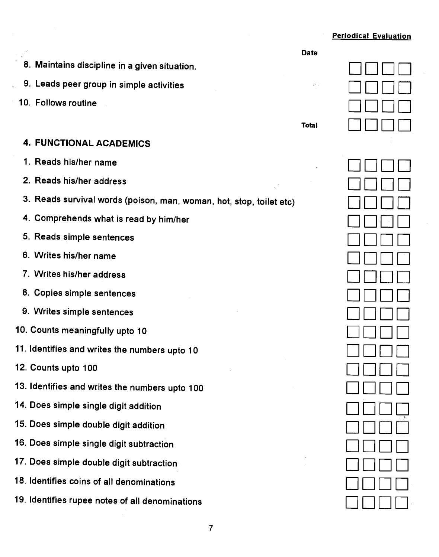#### Periodical Evaluation

- Maintains discipline in a given situation. 8.
- Leads peer group in simple activities 9.
- 10. Follows routine



Date

#### 4. FUNCTIONAL ACADEMICS

- 1. Reads his/her name
- 2. Reads his/her address
- 3. Reads survival words (poison, man, woman, hot, stop, toilet etc)
- 4. Comprehends what is read by him/her
- 5. Reads simple sentences
- 6. Writes his/her name
- 7. Writes his/her address
- 8. Copies simple sentences
- 9. Writes simple sentences
- 10. Counts meaningfully upto 10
- 11. Identifies and writes the numbers upto 10
- 12. Counts upto 100
- 13. Identifies and writes the numbers upto 100
- 14. Does simple single digit addition
- 15. Does simple double digit addition
- 16. Does simple single digit subtraction
- 17. Does simple double digit subtraction
- 18. Identifies coins of all denominations
- 19. Identifies rupee notes of all denominations

| ł,                            |  |
|-------------------------------|--|
| L<br>$\overline{\phantom{a}}$ |  |
|                               |  |
|                               |  |
|                               |  |
| L                             |  |
| Ŀ                             |  |
|                               |  |
|                               |  |
| $\Box \Box \Box \Box$         |  |
| $\Box \Box \Box \Box$         |  |
| $\Box$<br>$\Box \Box$         |  |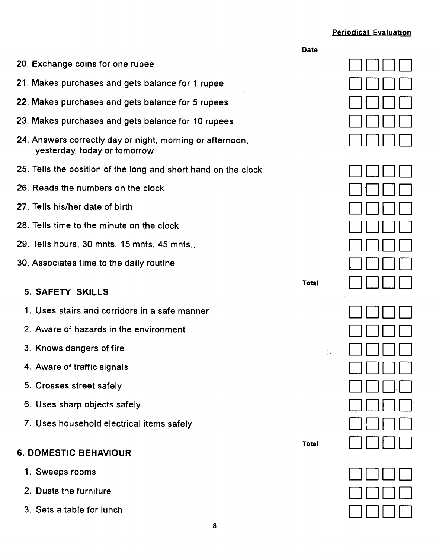#### Periodical Evaluation

|                                                                                           | <b>Date</b>  |  |
|-------------------------------------------------------------------------------------------|--------------|--|
| 20. Exchange coins for one rupee                                                          |              |  |
| 21. Makes purchases and gets balance for 1 rupee                                          |              |  |
| 22. Makes purchases and gets balance for 5 rupees                                         |              |  |
| 23. Makes purchases and gets balance for 10 rupees                                        |              |  |
| 24. Answers correctly day or night, morning or afternoon,<br>yesterday, today or tomorrow |              |  |
| 25. Tells the position of the long and short hand on the clock                            |              |  |
| 26. Reads the numbers on the clock                                                        |              |  |
| 27. Tells his/her date of birth                                                           |              |  |
| 28. Tells time to the minute on the clock                                                 |              |  |
| 29. Tells hours, 30 mnts, 15 mnts, 45 mnts.,                                              |              |  |
| 30. Associates time to the daily routine                                                  |              |  |
| 5. SAFETY SKILLS                                                                          | <b>Total</b> |  |
| 1. Uses stairs and corridors in a safe manner                                             |              |  |
| 2. Aware of hazards in the environment                                                    |              |  |
| 3. Knows dangers of fire                                                                  | t.<br>De     |  |
| 4. Aware of traffic signals                                                               |              |  |
| 5. Crosses street safely                                                                  |              |  |
| 6. Uses sharp objects safely                                                              |              |  |
| 7. Uses household electrical items safely                                                 |              |  |
| <b>6. DOMESTIC BEHAVIOUR</b>                                                              | <b>Total</b> |  |
| 1. Sweeps rooms                                                                           |              |  |
| 2. Dusts the furniture                                                                    |              |  |
| 3. Sets a table for lunch                                                                 |              |  |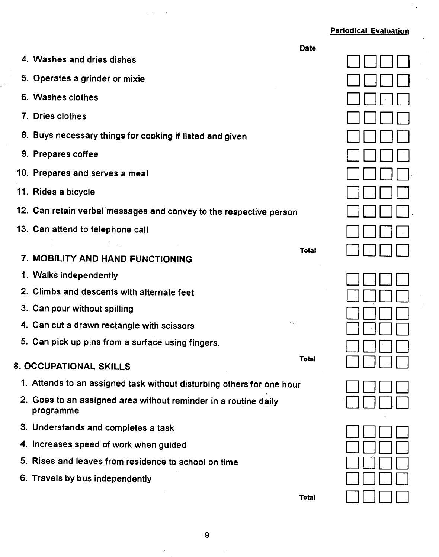### Periodical Evaluation

 $\ddot{\phantom{a}}$ 

|                                                                              | <b>Date</b>  |  |
|------------------------------------------------------------------------------|--------------|--|
| 4. Washes and dries dishes                                                   |              |  |
| 5. Operates a grinder or mixie                                               |              |  |
| 6. Washes clothes                                                            |              |  |
| 7. Dries clothes                                                             |              |  |
| 8. Buys necessary things for cooking if listed and given                     |              |  |
| 9. Prepares coffee                                                           |              |  |
| 10. Prepares and serves a meal                                               |              |  |
| 11. Rides a bicycle                                                          |              |  |
| 12. Can retain verbal messages and convey to the respective person           |              |  |
| 13. Can attend to telephone call                                             |              |  |
| 7. MOBILITY AND HAND FUNCTIONING                                             | <b>Total</b> |  |
| 1. Walks independently                                                       |              |  |
| 2. Climbs and descents with alternate feet                                   |              |  |
| 3. Can pour without spilling                                                 |              |  |
| 4. Can cut a drawn rectangle with scissors                                   |              |  |
| 5. Can pick up pins from a surface using fingers.                            |              |  |
| 8. OCCUPATIONAL SKILLS                                                       | <b>Total</b> |  |
| 1. Attends to an assigned task without disturbing others for one hour        |              |  |
| 2. Goes to an assigned area without reminder in a routine daily<br>programme |              |  |
| 3. Understands and completes a task                                          |              |  |
| 4. Increases speed of work when guided                                       |              |  |
| 5. Rises and leaves from residence to school on time                         |              |  |
| 6. Travels by bus independently                                              |              |  |
|                                                                              | <b>Total</b> |  |

 $\omega = \omega$ 

بالإ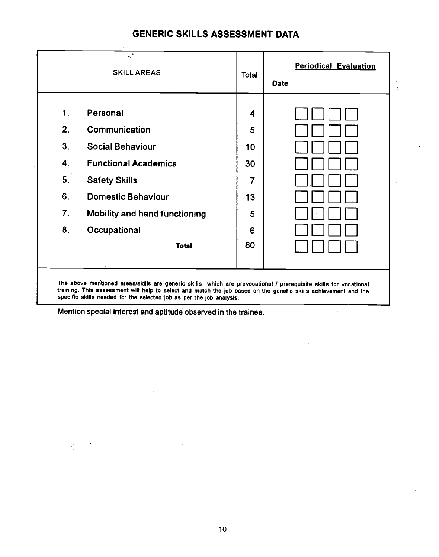## GENERIC SKILLS ASSESSMENT DATA

|                | <b>SKILL AREAS</b>                                                                                               | <b>Total</b>   | <b>Periodical Evaluation</b><br>Date |
|----------------|------------------------------------------------------------------------------------------------------------------|----------------|--------------------------------------|
| 1.             | Personal                                                                                                         | 4              |                                      |
| 2.             | Communication                                                                                                    | 5              |                                      |
| 3.             | <b>Social Behaviour</b>                                                                                          | 10             |                                      |
| 4.             | <b>Functional Academics</b>                                                                                      | 30             |                                      |
| 5 <sub>1</sub> | <b>Safety Skills</b>                                                                                             | $\overline{7}$ |                                      |
| 6.             | <b>Domestic Behaviour</b>                                                                                        | 13             |                                      |
| 7.             | <b>Mobility and hand functioning</b>                                                                             | 5              |                                      |
| 8.             | Occupational                                                                                                     | 6              |                                      |
|                | <b>Total</b>                                                                                                     | 80             |                                      |
|                | The above mentioned areas/skills are generic skills which are prevocational / prerequisite skills for vocational |                |                                      |

Mention special interest and aptitude observed in the trainee.

 $\ddot{\phantom{a}}$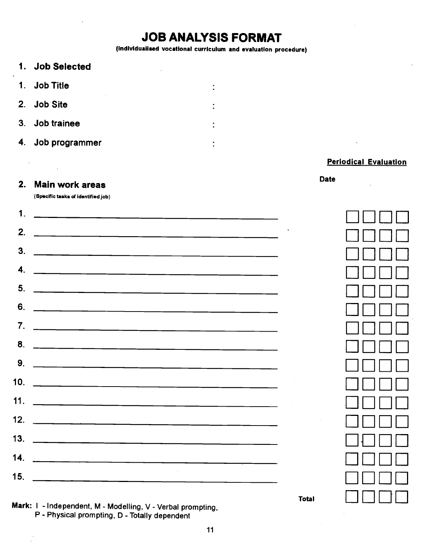# JOB ANALYSIS FORMAT

(Individualised vocational curriculum and evaluation procedure)

 $\ddot{\cdot}$ 

 $\cdot$ 

1. Job Selected 1. Job Title 2. Job Site 3. Job trainee 4. Job programmer

#### Periodical Evaluation

# Date 2. Main work areas

(Specific tasks of identified job)

|                | Cobecute move or identitied foot                                                                                       |                 |  |
|----------------|------------------------------------------------------------------------------------------------------------------------|-----------------|--|
| $\mathbf 1$    | <u> 1980 - Jan James James, margaret amerikan bizi dago da da a shekara 1980 - Andrew Samuel and San San San San S</u> |                 |  |
| 2.             |                                                                                                                        |                 |  |
| 3 <sub>1</sub> |                                                                                                                        |                 |  |
| 4.             |                                                                                                                        |                 |  |
| 5 <sub>1</sub> |                                                                                                                        |                 |  |
| 6.             |                                                                                                                        |                 |  |
|                | 7. $\overline{\phantom{a}}$                                                                                            |                 |  |
| 8.             |                                                                                                                        |                 |  |
| 9.             |                                                                                                                        |                 |  |
|                |                                                                                                                        |                 |  |
|                |                                                                                                                        |                 |  |
| 12.            |                                                                                                                        | $\sim 10^{-11}$ |  |
|                | 13. $\qquad \qquad$                                                                                                    |                 |  |
|                | 14. $\frac{1}{2}$                                                                                                      |                 |  |
| 15.            | the control of the control of                                                                                          |                 |  |
|                | $\blacksquare$                                                                                                         | <b>Total</b>    |  |

Mark: I - Independent, M - Modelling, V - Verbal prompting, P - Physical prompting, D - Totally dependent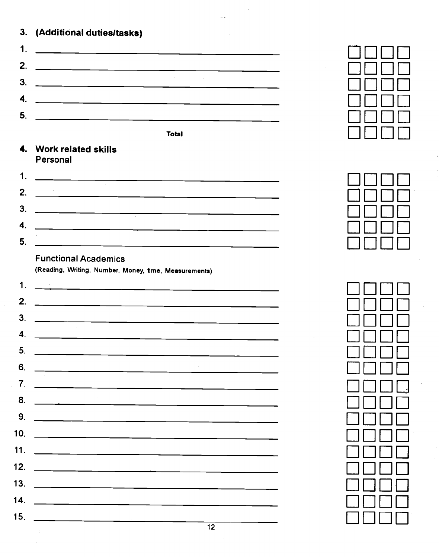|  |  | 3. (Additional duties/tasks) |
|--|--|------------------------------|
|--|--|------------------------------|

|         | <b>J. (Additional duties/tasks)</b> |  |
|---------|-------------------------------------|--|
| . .     |                                     |  |
| າ<br>Ł. |                                     |  |
| 3.      |                                     |  |
| 4.      |                                     |  |
| 5.      |                                     |  |
|         |                                     |  |

#### 4. Work related skills Personal

|    | Personal |        |
|----|----------|--------|
| 1. |          | $\sim$ |
| 2. |          |        |
| 3. |          |        |
| 4. |          |        |
| 5. |          |        |
|    |          |        |

## Functional Academics

l.

(Reading, Writing, Number, Money, time, Measurements)

| (Reading, Writing, Number, Money, time, Measurements)                                                                                                                                                                                                                                               |  |
|-----------------------------------------------------------------------------------------------------------------------------------------------------------------------------------------------------------------------------------------------------------------------------------------------------|--|
| 1.                                                                                                                                                                                                                                                                                                  |  |
| 2.                                                                                                                                                                                                                                                                                                  |  |
| 3.                                                                                                                                                                                                                                                                                                  |  |
| 4.                                                                                                                                                                                                                                                                                                  |  |
| 5 <sub>1</sub>                                                                                                                                                                                                                                                                                      |  |
| 6.                                                                                                                                                                                                                                                                                                  |  |
| 7 <sub>1</sub>                                                                                                                                                                                                                                                                                      |  |
| 8.                                                                                                                                                                                                                                                                                                  |  |
| 9.                                                                                                                                                                                                                                                                                                  |  |
| 10.                                                                                                                                                                                                                                                                                                 |  |
| 11. $\frac{1}{2}$ and $\frac{1}{2}$ and $\frac{1}{2}$ and $\frac{1}{2}$ and $\frac{1}{2}$ and $\frac{1}{2}$ and $\frac{1}{2}$ and $\frac{1}{2}$ and $\frac{1}{2}$ and $\frac{1}{2}$ and $\frac{1}{2}$ and $\frac{1}{2}$ and $\frac{1}{2}$ and $\frac{1}{2}$ and $\frac{1}{2}$ and $\frac{1}{2$      |  |
| 12.<br><u> 1980 - Andrea Andrew Maria (h. 1980).</u><br>1900 - Andrew Maria (h. 1900).                                                                                                                                                                                                              |  |
| 13. $\qquad \qquad$                                                                                                                                                                                                                                                                                 |  |
| 14.                                                                                                                                                                                                                                                                                                 |  |
| 15. $\frac{1}{2}$ = $\frac{1}{2}$ = $\frac{1}{2}$ = $\frac{1}{2}$ = $\frac{1}{2}$ = $\frac{1}{2}$ = $\frac{1}{2}$ = $\frac{1}{2}$ = $\frac{1}{2}$ = $\frac{1}{2}$ = $\frac{1}{2}$ = $\frac{1}{2}$ = $\frac{1}{2}$ = $\frac{1}{2}$ = $\frac{1}{2}$ = $\frac{1}{2}$ = $\frac{1}{2}$ = $\frac{1}{2}$ = |  |
| 12<br>이 사이트 시간 사이트 100ml 이 사이트 시간 시간이 있습니다.                                                                                                                                                                                                                                                         |  |

|       | $\Box$                    |
|-------|---------------------------|
|       | $\mathbf{I}$              |
|       | $\mathbf{1}$ $\mathbf{1}$ |
| Total |                           |
|       |                           |



| $\epsilon$<br>$\overline{\phantom{a}}$ |  |
|----------------------------------------|--|
|                                        |  |
|                                        |  |
| ×                                      |  |
| $\hat{\mathbf{r}}$                     |  |
| I                                      |  |
|                                        |  |
|                                        |  |
|                                        |  |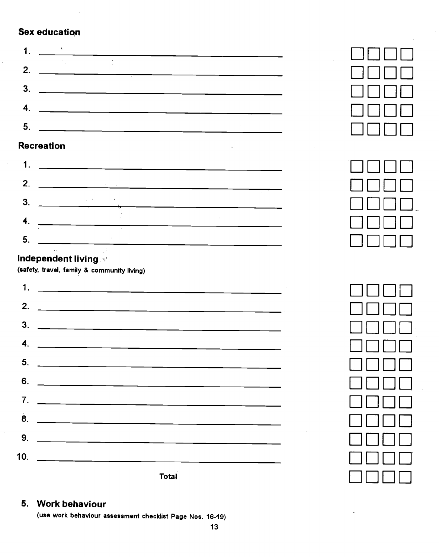#### Sex education

|                  | ---- ----------                                                                                                      |  |
|------------------|----------------------------------------------------------------------------------------------------------------------|--|
|                  |                                                                                                                      |  |
|                  |                                                                                                                      |  |
| 2.               | <u> 1980 - Jan Barbara Barat, prima populație de la provincia de la provincia de la provincia de la provincia de</u> |  |
| 3                |                                                                                                                      |  |
| $\boldsymbol{4}$ |                                                                                                                      |  |
| 5                |                                                                                                                      |  |
|                  |                                                                                                                      |  |

## Recreation

|    | 2. $\qquad$ |
|----|-------------|
|    | Τ           |
|    | 4.          |
| 5. |             |

## Independent living

(safety, travel, family & community living)

| 2. $\overline{\phantom{a}}$                                       |
|-------------------------------------------------------------------|
| $\frac{3}{2}$                                                     |
| 4. $\qquad \qquad$                                                |
|                                                                   |
| 6. $\overbrace{\hspace{2.5cm}}$                                   |
| 7. $\overbrace{\phantom{xxxxx}}$ 7. $\overbrace{\phantom{xxxxx}}$ |
| $\overline{8}$ .                                                  |
|                                                                   |
| 10. $\qquad \qquad \qquad$                                        |
| <b>Total</b>                                                      |



| <b>OCTOBE</b> |  |
|---------------|--|
|               |  |
| $\Box$        |  |
|               |  |

| $\blacksquare$ |  |
|----------------|--|
|                |  |
|                |  |
|                |  |
|                |  |
|                |  |
|                |  |
|                |  |

#### 5. Work behaviour

(use work behaviour assessment checklist Page Nos. 16-19)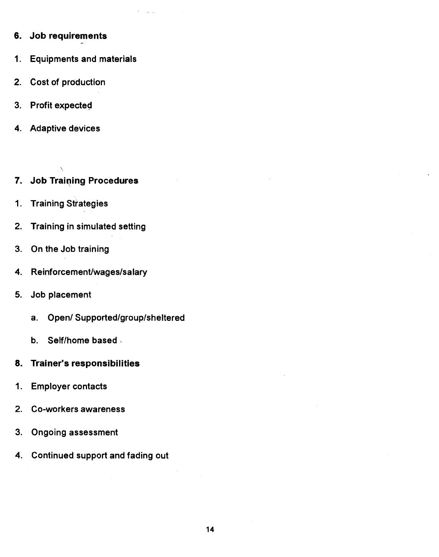- 6. Job requirements
- 1. Equipments and materials
- 2. Cost of production
- 3. Profit expected
- 4. Adaptive devices
- 7. Job Training Procedures
- 1. Training Strategies

 $\overline{\phantom{0}}$ 

- 2. Training in simulated setting
- 3. On the Job training
- 4. Reinforcement/wages/salary
- 5. Job placement
	- a. Open/ Supported/group/sheltered
	- b. Self/home based
- 8. Trainer's responsibilities
- 1. Employer contacts
- 2. Co-workers awareness
- 3. Ongoing assessment
- 4. Continued support and fading out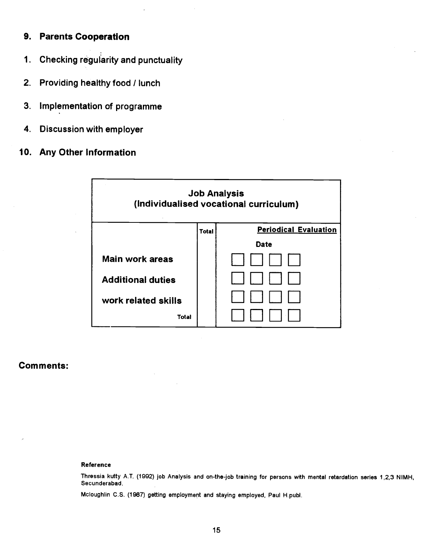#### 9. Parents Cooperation

- 1. Checking regularity and punctuality
- 2. Providing healthy food / lunch
- 3. Implementation of programme
- 4. Discussion with employer
- 10. Any Other Information



#### Comments:

#### Reference

Thressia kutty A.T. (1992) job Analysis and on-the-job training for persons with mental retardation series 1,2,3 NIMH,<br>Secunderabad.

Mcloughlin C.S. (1987) getting employment and staying employed, Paul H.publ.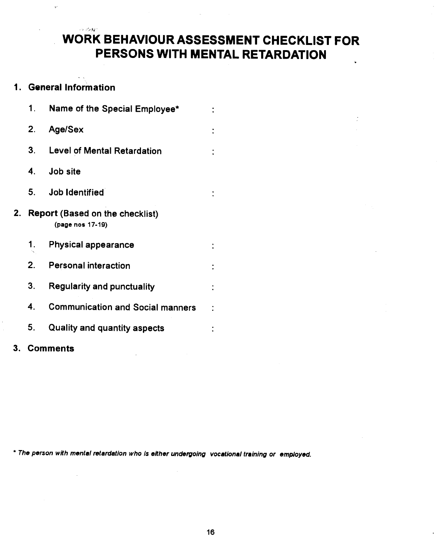## in 1987 WORK BEHAVIOUR ASSESSMENT CHECKLIST FOR PERSONS WITH MENTAL RETARDATION

#### 1. General Information

|    | 1. | Name of the Special Employee*                              |  |
|----|----|------------------------------------------------------------|--|
|    | 2. | Age/Sex                                                    |  |
|    | 3. | <b>Level of Mental Retardation</b>                         |  |
|    | 4. | Job site                                                   |  |
|    | 5. | <b>Job Identified</b>                                      |  |
| 2. |    | <b>Report (Based on the checklist)</b><br>(page nos 17-19) |  |
|    | 1. | <b>Physical appearance</b>                                 |  |
|    | 2. | <b>Personal interaction</b>                                |  |
|    | 3. | <b>Regularity and punctuality</b>                          |  |
|    | 4. | <b>Communication and Social manners</b>                    |  |
|    | 5. | <b>Quality and quantity aspects</b>                        |  |
| 3. |    | <b>Comments</b>                                            |  |

\* The person with mental retardation who is either undergoing vocational training or employed.

l.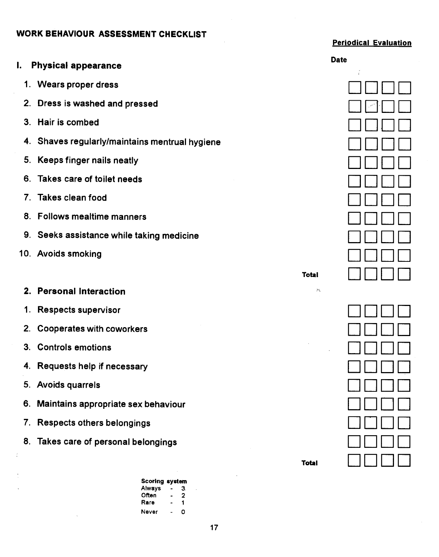#### WORK BEHAVIOUR ASSESSMENT CHECKLIST

#### Periodical Evaluation

|    | I. Physical appearance                      |                             | <b>Date</b> |
|----|---------------------------------------------|-----------------------------|-------------|
|    | 1. Wears proper dress                       |                             | $\tilde{t}$ |
| 2. | Dress is washed and pressed                 |                             |             |
| 3. | Hair is combed                              |                             |             |
| 4. | Shaves regularly/maintains mentrual hygiene |                             |             |
| 5. | Keeps finger nails neatly                   |                             |             |
| 6. | Takes care of toilet needs                  |                             |             |
| 7. | Takes clean food                            |                             |             |
| 8. | <b>Follows mealtime manners</b>             |                             |             |
| 9. | Seeks assistance while taking medicine      |                             |             |
|    | 10. Avoids smoking                          |                             |             |
|    |                                             | Total                       |             |
| 2. | <b>Personal Interaction</b>                 | $\mathcal{F}^{\mathcal{C}}$ |             |
| 1. | <b>Respects supervisor</b>                  |                             |             |
| 2. | <b>Cooperates with coworkers</b>            |                             |             |
| 3. | <b>Controls emotions</b>                    |                             |             |
| 4. | Requests help if necessary                  |                             |             |
|    | 5. Avoids quarrels                          |                             |             |
|    | 6. Maintains appropriate sex behaviour      |                             |             |
|    | 7. Respects others belongings               |                             |             |
|    | 8. Takes care of personal belongings        |                             |             |
|    |                                             | <b>Total</b>                |             |

Scoring system Always - 3. Often - 2 Rare - 1 Never - 0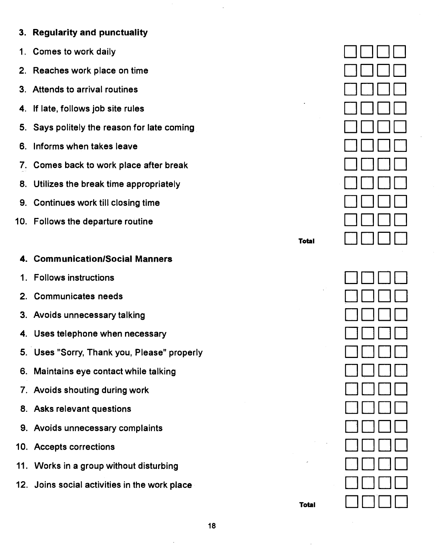## 3. Regularity and punctuality

- Comes to work daily 1.
- 2. Reaches work place on time
- Attends to arrival routines 3.
- **4. If late, follows job site rules**
- 5. Says politely the reason for late coming
- 6. Informs when takes leave
- 7. Comes back to work place after break
- Utilizes the break time appropriately 8.
- Continues work till closing time 9.
- 10. Follows the departure routine

#### 4. Communication/Social Manners

- Follows instructions 1.
- 2. Communicates needs
- Avoids unnecessary talking 3.
- Uses telephone when necessary 4.
- Uses "Sorry, Thank you, Please" properly 5.
- Maintains eye contact while talking 6.
- Avoids shouting during work 7.
- 8. Asks relevant questions
- Avoids unnecessary complaints 9.
- 10. Accepts corrections
- Works in a group without disturbing 11.
- 12. Joins social activities in the work place



Total

Total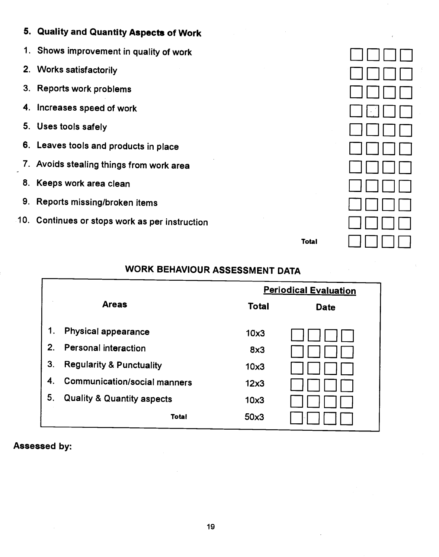## 5. Quality and Quantity Aspects of Work

- 1. Shows improvement in quality of work
- 2. Works satisfactorily
- 3. Reports work problems
- 4. Increases speed of work
- 5. Uses tools safely
- 6. Leaves tools and products in place
- 7. Avoids stealing things from work area
- 8. Keeps work area clean
- 9. Reports missing/broken items
- 10. Continues or stops work as per instruction

| $\frac{1}{2}$                                        |  |
|------------------------------------------------------|--|
|                                                      |  |
| $\boxed{\phantom{1}}$<br>$\hat{\boldsymbol{\gamma}}$ |  |
|                                                      |  |
|                                                      |  |
|                                                      |  |
|                                                      |  |
|                                                      |  |
|                                                      |  |
|                                                      |  |
|                                                      |  |

Total

## WORK BEHAVIOUR ASSESSMENT DATA

|    |                                       |              | <b>Periodical Evaluation</b> |
|----|---------------------------------------|--------------|------------------------------|
|    | <b>Areas</b>                          | <b>Total</b> | <b>Date</b>                  |
| 1. | <b>Physical appearance</b>            | 10x3         |                              |
| 2. | <b>Personal interaction</b>           | 8x3          |                              |
| 3. | <b>Regularity &amp; Punctuality</b>   | 10x3         |                              |
| 4. | <b>Communication/social manners</b>   | 12x3         |                              |
| 5. | <b>Quality &amp; Quantity aspects</b> | 10x3         |                              |
|    | <b>Total</b>                          | 50x3         |                              |

#### Assessed by: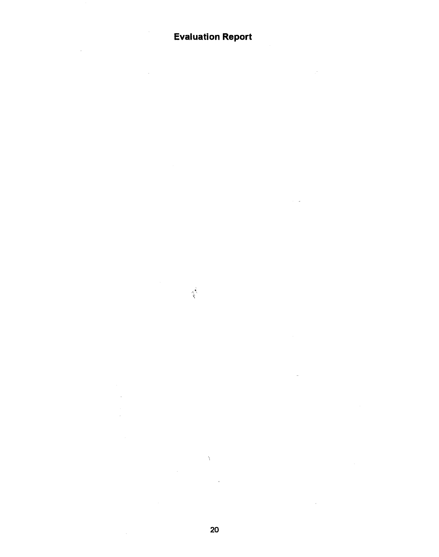## Evaluation Report

 $\chi$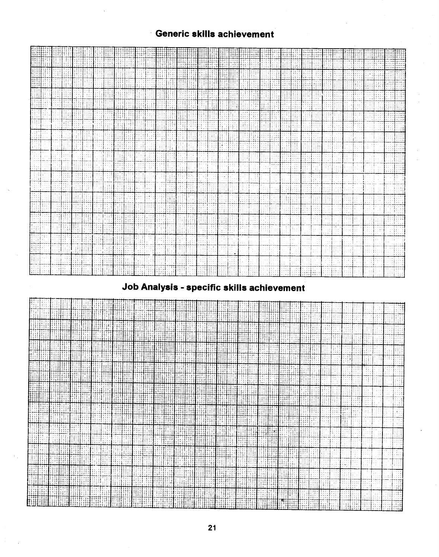

## Job Analysis - specific skills achievement

il i Ü₩ HH 4481 HH 1 **HIII MIT** 珊  $\boldsymbol{\Pi}$ M Ħ. iii 珊腊 開開 拼拼讲 冊 HĦ M 拼拼 W समित<br>समिति n Trinis III **ANTI R** 期間 TH di H 開排 H **TITLET ATIO ATIO** 94 扭 W **THE TH Tillian** liili **TANA** ▥ 曲車 **HEI HHHH** W WHIT ĦH. Ħ THE Hil Ħ. HI. W HIII MH **THE R** HTH 抽抽曲 **ATHANO DALKE** Hij 押用 a mana WM **HITHER** 4 F W **HITA** समान an Hitti **THE WILL** in Maria **The Second** सम्बद्धाः<br>सम्बद्धाः **THE R Milli THE** 拼拼 ł HHH HH 那期 **THE** ₩. 甘田 **HITH** THE स 用用 मक्ति ।<br>समिति । **Milli** E समा **THE BEAT HITE** HH.  $\prod_{i=1}^n$ li p n din 1 W TH **HIME** ļ. **Hilli** 拙拼 HH. H W HHH नाम THE TH. **Title** 詍 HI. НĦ H. 出掛比 W THE THE WH. **Hill** T ПĦ Ħij HIII THIN 拑田 HIHII 曲拍 ĦЩ HH. H a de la construcción Ŧ inan kahal 捕捕捕 EMER 出掛出 亚甲酮 **MANITE** BĦ ₩i I⊞ï HĦ